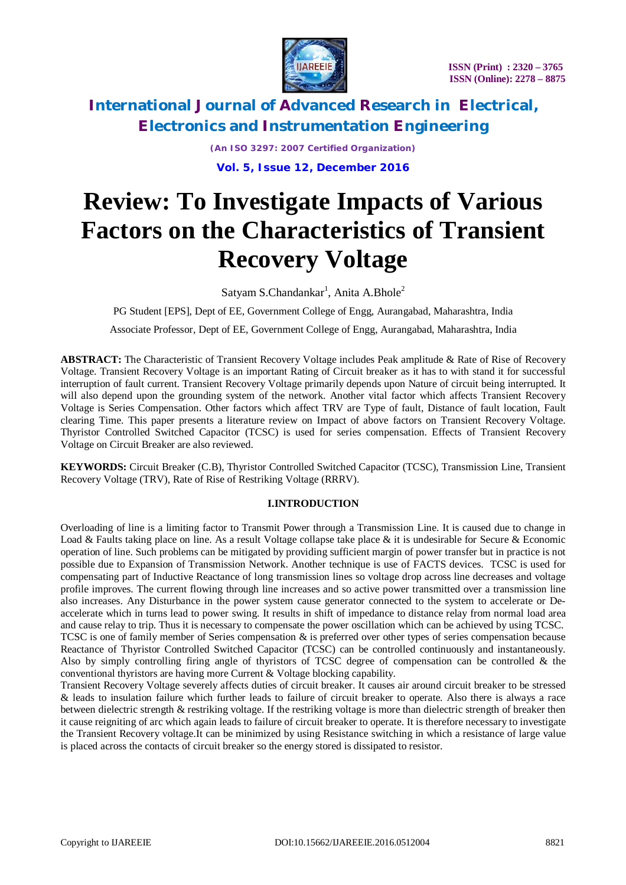

> *(An ISO 3297: 2007 Certified Organization)* **Vol. 5, Issue 12, December 2016**

# **Review: To Investigate Impacts of Various Factors on the Characteristics of Transient Recovery Voltage**

 $S$ atyam  $S$ .Chandankar<sup>1</sup>, Anita A.Bhole<sup>2</sup>

PG Student [EPS], Dept of EE, Government College of Engg, Aurangabad, Maharashtra, India Associate Professor, Dept of EE, Government College of Engg, Aurangabad, Maharashtra, India

**ABSTRACT:** The Characteristic of Transient Recovery Voltage includes Peak amplitude & Rate of Rise of Recovery Voltage. Transient Recovery Voltage is an important Rating of Circuit breaker as it has to with stand it for successful interruption of fault current. Transient Recovery Voltage primarily depends upon Nature of circuit being interrupted. It will also depend upon the grounding system of the network. Another vital factor which affects Transient Recovery Voltage is Series Compensation. Other factors which affect TRV are Type of fault, Distance of fault location, Fault clearing Time. This paper presents a literature review on Impact of above factors on Transient Recovery Voltage. Thyristor Controlled Switched Capacitor (TCSC) is used for series compensation. Effects of Transient Recovery Voltage on Circuit Breaker are also reviewed.

**KEYWORDS:** Circuit Breaker (C.B), Thyristor Controlled Switched Capacitor (TCSC), Transmission Line, Transient Recovery Voltage (TRV), Rate of Rise of Restriking Voltage (RRRV).

# **I.INTRODUCTION**

Overloading of line is a limiting factor to Transmit Power through a Transmission Line. It is caused due to change in Load & Faults taking place on line. As a result Voltage collapse take place & it is undesirable for Secure & Economic operation of line. Such problems can be mitigated by providing sufficient margin of power transfer but in practice is not possible due to Expansion of Transmission Network. Another technique is use of FACTS devices. TCSC is used for compensating part of Inductive Reactance of long transmission lines so voltage drop across line decreases and voltage profile improves. The current flowing through line increases and so active power transmitted over a transmission line also increases. Any Disturbance in the power system cause generator connected to the system to accelerate or Deaccelerate which in turns lead to power swing. It results in shift of impedance to distance relay from normal load area and cause relay to trip. Thus it is necessary to compensate the power oscillation which can be achieved by using TCSC. TCSC is one of family member of Series compensation & is preferred over other types of series compensation because Reactance of Thyristor Controlled Switched Capacitor (TCSC) can be controlled continuously and instantaneously. Also by simply controlling firing angle of thyristors of TCSC degree of compensation can be controlled & the conventional thyristors are having more Current & Voltage blocking capability.

Transient Recovery Voltage severely affects duties of circuit breaker. It causes air around circuit breaker to be stressed & leads to insulation failure which further leads to failure of circuit breaker to operate. Also there is always a race between dielectric strength & restriking voltage. If the restriking voltage is more than dielectric strength of breaker then it cause reigniting of arc which again leads to failure of circuit breaker to operate. It is therefore necessary to investigate the Transient Recovery voltage.It can be minimized by using Resistance switching in which a resistance of large value is placed across the contacts of circuit breaker so the energy stored is dissipated to resistor.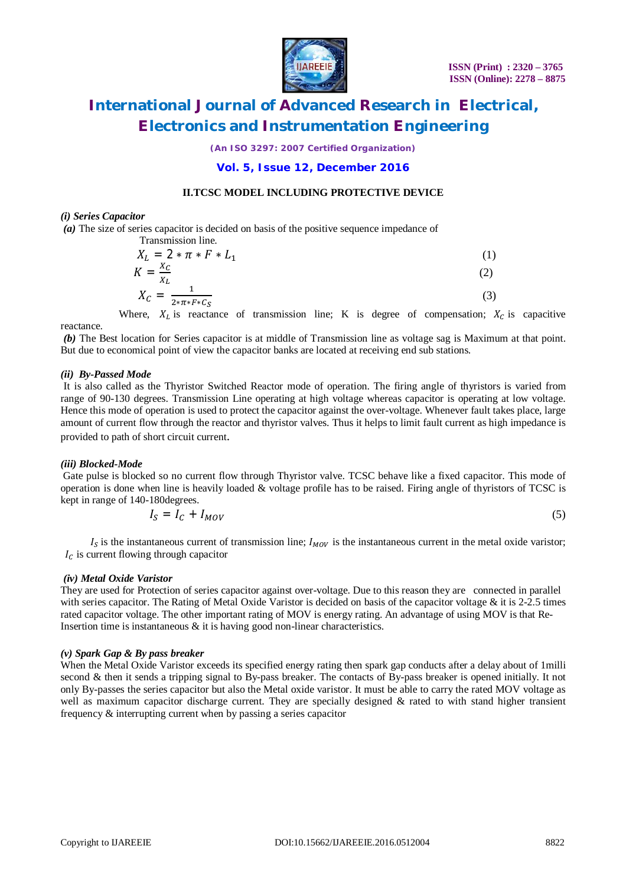

*(An ISO 3297: 2007 Certified Organization)*

# **Vol. 5, Issue 12, December 2016**

### **II.TCSC MODEL INCLUDING PROTECTIVE DEVICE**

#### *(i) Series Capacitor*

*(a)* The size of series capacitor is decided on basis of the positive sequence impedance of

Transforming the expression of the following matrices:

\n
$$
X_L = 2 * \pi * F * L_1
$$
\n
$$
K = \frac{X_C}{X_L}
$$
\n
$$
V = \frac{1}{2 \pi L} \tag{2}
$$

$$
X_C = \frac{1}{2 \cdot \pi \cdot F \cdot C_S} \tag{3}
$$

Where,  $X_L$  is reactance of transmission line; K is degree of compensation;  $X_C$  is capacitive reactance.

*(b)* The Best location for Series capacitor is at middle of Transmission line as voltage sag is Maximum at that point. But due to economical point of view the capacitor banks are located at receiving end sub stations.

#### *(ii) By-Passed Mode*

It is also called as the Thyristor Switched Reactor mode of operation. The firing angle of thyristors is varied from range of 90-130 degrees. Transmission Line operating at high voltage whereas capacitor is operating at low voltage. Hence this mode of operation is used to protect the capacitor against the over-voltage. Whenever fault takes place, large amount of current flow through the reactor and thyristor valves. Thus it helps to limit fault current as high impedance is provided to path of short circuit current.

#### *(iii) Blocked-Mode*

Gate pulse is blocked so no current flow through Thyristor valve. TCSC behave like a fixed capacitor. This mode of operation is done when line is heavily loaded & voltage profile has to be raised. Firing angle of thyristors of TCSC is kept in range of 140-180degrees.

$$
I_S = I_C + I_{MOV}
$$
 (5)

 $I_s$  is the instantaneous current of transmission line;  $I_{MOV}$  is the instantaneous current in the metal oxide varistor;  $I_c$  is current flowing through capacitor

#### *(iv) Metal Oxide Varistor*

They are used for Protection of series capacitor against over-voltage. Due to this reason they are connected in parallel with series capacitor. The Rating of Metal Oxide Varistor is decided on basis of the capacitor voltage  $\&$  it is 2-2.5 times rated capacitor voltage. The other important rating of MOV is energy rating. An advantage of using MOV is that Re-Insertion time is instantaneous & it is having good non-linear characteristics.

#### *(v) Spark Gap & By pass breaker*

When the Metal Oxide Varistor exceeds its specified energy rating then spark gap conducts after a delay about of 1milli second & then it sends a tripping signal to By-pass breaker. The contacts of By-pass breaker is opened initially. It not only By-passes the series capacitor but also the Metal oxide varistor. It must be able to carry the rated MOV voltage as well as maximum capacitor discharge current. They are specially designed & rated to with stand higher transient frequency & interrupting current when by passing a series capacitor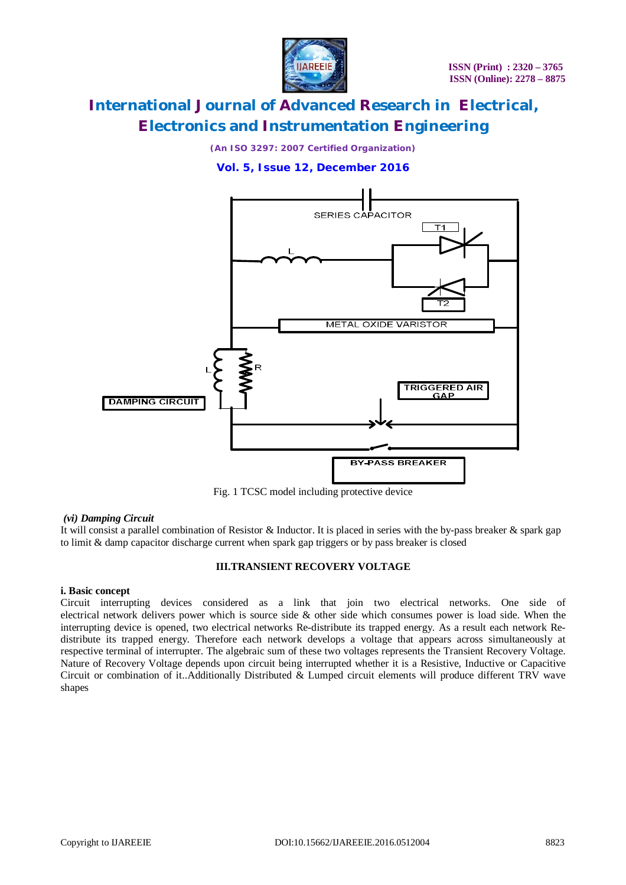

*(An ISO 3297: 2007 Certified Organization)*

# **Vol. 5, Issue 12, December 2016**



Fig. 1 TCSC model including protective device

# *(vi) Damping Circuit*

It will consist a parallel combination of Resistor & Inductor. It is placed in series with the by-pass breaker & spark gap to limit & damp capacitor discharge current when spark gap triggers or by pass breaker is closed

# **III.TRANSIENT RECOVERY VOLTAGE**

# **i. Basic concept**

Circuit interrupting devices considered as a link that join two electrical networks. One side of electrical network delivers power which is source side & other side which consumes power is load side. When the interrupting device is opened, two electrical networks Re-distribute its trapped energy. As a result each network Redistribute its trapped energy. Therefore each network develops a voltage that appears across simultaneously at respective terminal of interrupter. The algebraic sum of these two voltages represents the Transient Recovery Voltage. Nature of Recovery Voltage depends upon circuit being interrupted whether it is a Resistive, Inductive or Capacitive Circuit or combination of it..Additionally Distributed & Lumped circuit elements will produce different TRV wave shapes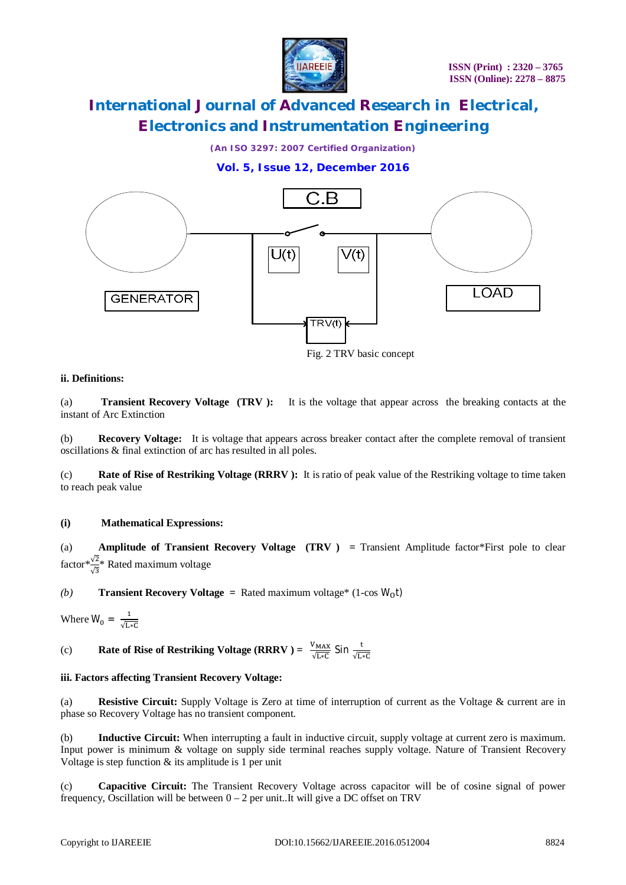

*(An ISO 3297: 2007 Certified Organization)*

# **Vol. 5, Issue 12, December 2016**



Fig. 2 TRV basic concept

# **ii. Definitions:**

(a) **Transient Recovery Voltage (TRV ):**It is the voltage that appear across the breaking contacts at the instant of Arc Extinction

(b) **Recovery Voltage:**It is voltage that appears across breaker contact after the complete removal of transient oscillations & final extinction of arc has resulted in all poles.

(c) **Rate of Rise of Restriking Voltage (RRRV ):** It is ratio of peak value of the Restriking voltage to time taken to reach peak value

# **(i) Mathematical Expressions:**

(a) **Amplitude of Transient Recovery Voltage (TRV )** *=* Transient Amplitude factor\*First pole to clear factor $\sqrt[*]{\frac{2}{3}}$ \* Rated maximum voltage

*(b)* **Transient Recovery Voltage** = Rated maximum voltage<sup>\*</sup> (1-cos  $W_0$ t)

Where  $W_0 = \frac{1}{\sqrt{15}}$ √∗େ

(c) **Rate of Rise of Restriking Voltage (RRRV ) =**  $\frac{V_{MAX}}{\sqrt{LC}}$  $\frac{V_{\text{MAX}}}{\sqrt{\text{L}*C}}$  Sin  $\frac{t}{\sqrt{\text{L}*C}}$ 

# **iii. Factors affecting Transient Recovery Voltage:**

(a) **Resistive Circuit:** Supply Voltage is Zero at time of interruption of current as the Voltage & current are in phase so Recovery Voltage has no transient component.

(b) **Inductive Circuit:** When interrupting a fault in inductive circuit, supply voltage at current zero is maximum. Input power is minimum & voltage on supply side terminal reaches supply voltage. Nature of Transient Recovery Voltage is step function  $&$  its amplitude is 1 per unit

(c) **Capacitive Circuit:** The Transient Recovery Voltage across capacitor will be of cosine signal of power frequency, Oscillation will be between  $0 - 2$  per unit. It will give a DC offset on TRV